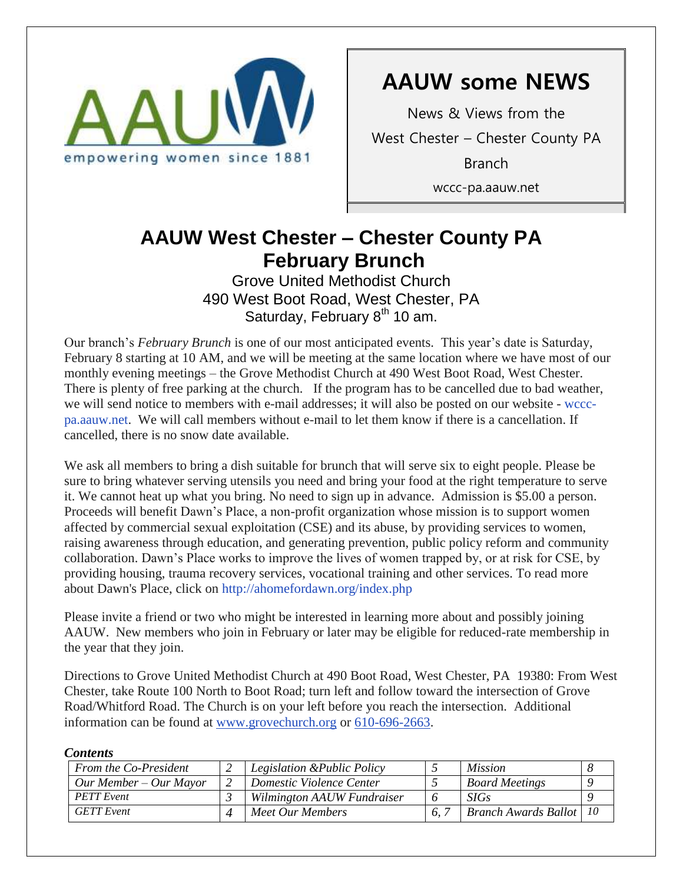

# **AAUW some NEWS**

News & Views from the West Chester – Chester County PA Branch wccc-pa.aauw.net

### **AAUW West Chester - Chester County PA February Brunch** February 2014

Grove United Methodist Church 490 West Boot Road, West Chester, PA Saturday, February  $8<sup>th</sup>$  10 am.

Our branch's *February Brunch* is one of our most anticipated events. This year's date is Saturday, February 8 starting at 10 AM, and we will be meeting at the same location where we have most of our monthly evening meetings – the Grove Methodist Church at 490 West Boot Road, West Chester. There is plenty of free parking at the church. If the program has to be cancelled due to bad weather, we will send notice to members with e-mail addresses; it will also be posted on our website - [wccc](http://wccc-pa.aauw.net/)[pa.aauw.net.](http://wccc-pa.aauw.net/) We will call members without e-mail to let them know if there is a cancellation. If cancelled, there is no snow date available.

We ask all members to bring a dish suitable for brunch that will serve six to eight people. Please be sure to bring whatever serving utensils you need and bring your food at the right temperature to serve it. We cannot heat up what you bring. No need to sign up in advance. Admission is \$5.00 a person. Proceeds will benefit Dawn's Place, a non-profit organization whose mission is to support women affected by commercial sexual exploitation (CSE) and its abuse, by providing services to women, raising awareness through education, and generating prevention, public policy reform and community collaboration. Dawn's Place works to improve the lives of women trapped by, or at risk for CSE, by providing housing, trauma recovery services, vocational training and other services. To read more about Dawn's Place, click on <http://ahomefordawn.org/index.php>

Please invite a friend or two who might be interested in learning more about and possibly joining AAUW. New members who join in February or later may be eligible for reduced-rate membership in the year that they join.

Directions to Grove United Methodist Church at 490 Boot Road, West Chester, PA 19380: From West Chester, take Route 100 North to Boot Road; turn left and follow toward the intersection of Grove Road/Whitford Road. The Church is on your left before you reach the intersection. Additional information can be found at [www.grovechurch.org](http://www.grovechurch.org/) or [610-696-2663.](tel:/610-696-2663)

#### *Contents*

| ----------               |                             |                                |  |
|--------------------------|-----------------------------|--------------------------------|--|
| From the Co-President    | Legislation & Public Policy | <i>Mission</i>                 |  |
| $Our Member - Our Mayor$ | Domestic Violence Center    | <b>Board Meetings</b>          |  |
| <b>PETT</b> Event        | Wilmington AAUW Fundraiser  | SIGs                           |  |
| <b>GETT</b> Event        | Meet Our Members            | <b>Branch Awards Ballot</b> 10 |  |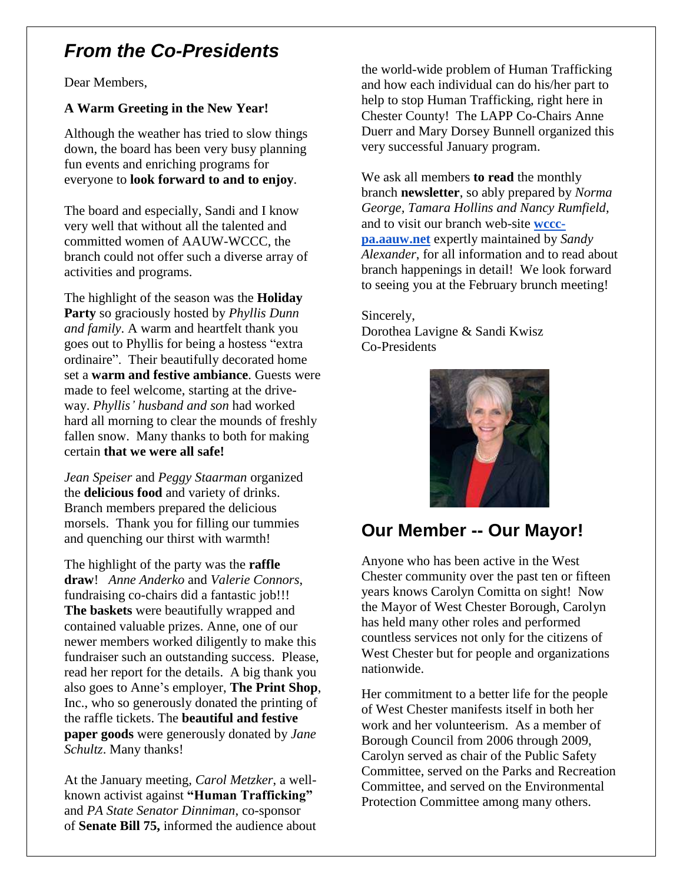## *From the Co-Presidents*

Dear Members,

### **A Warm Greeting in the New Year!**

Although the weather has tried to slow things down, the board has been very busy planning fun events and enriching programs for everyone to **look forward to and to enjoy**.

The board and especially, Sandi and I know very well that without all the talented and committed women of AAUW-WCCC, the branch could not offer such a diverse array of activities and programs.

The highlight of the season was the **Holiday Party** so graciously hosted by *Phyllis Dunn and family*. A warm and heartfelt thank you goes out to Phyllis for being a hostess "extra ordinaire". Their beautifully decorated home set a **warm and festive ambiance**. Guests were made to feel welcome, starting at the driveway. *Phyllis' husband and son* had worked hard all morning to clear the mounds of freshly fallen snow. Many thanks to both for making certain **that we were all safe!** 

*Jean Speiser* and *Peggy Staarman* organized the **delicious food** and variety of drinks. Branch members prepared the delicious morsels. Thank you for filling our tummies and quenching our thirst with warmth!

The highlight of the party was the **raffle draw**! *Anne Anderko* and *Valerie Connors*, fundraising co-chairs did a fantastic job!!! **The baskets** were beautifully wrapped and contained valuable prizes. Anne, one of our newer members worked diligently to make this fundraiser such an outstanding success. Please, read her report for the details. A big thank you also goes to Anne's employer, **The Print Shop**, Inc., who so generously donated the printing of the raffle tickets. The **beautiful and festive paper goods** were generously donated by *Jane Schultz*. Many thanks!

At the January meeting*, Carol Metzker*, a wellknown activist against **"Human Trafficking"** and *PA State Senator Dinniman*, co-sponsor of **Senate Bill 75,** informed the audience about the world-wide problem of Human Trafficking and how each individual can do his/her part to help to stop Human Trafficking, right here in Chester County! The LAPP Co-Chairs Anne Duerr and Mary Dorsey Bunnell organized this very successful January program.

We ask all members **to read** the monthly branch **newsletter**, so ably prepared by *Norma George, Tamara Hollins and Nancy Rumfield,* and to visit our branch web-site **[wccc](http://wccc-pa.aauw.net/)[pa.aauw.net](http://wccc-pa.aauw.net/)** expertly maintained by *Sandy Alexander*, for all information and to read about branch happenings in detail! We look forward to seeing you at the February brunch meeting!

Sincerely, Dorothea Lavigne & Sandi Kwisz Co-Presidents



## **Our Member -- Our Mayor!**

Anyone who has been active in the West Chester community over the past ten or fifteen years knows Carolyn Comitta on sight! Now the Mayor of West Chester Borough, Carolyn has held many other roles and performed countless services not only for the citizens of West Chester but for people and organizations nationwide.

Her commitment to a better life for the people of West Chester manifests itself in both her work and her volunteerism. As a member of Borough Council from 2006 through 2009, Carolyn served as chair of the Public Safety Committee, served on the Parks and Recreation Committee, and served on the Environmental Protection Committee among many others.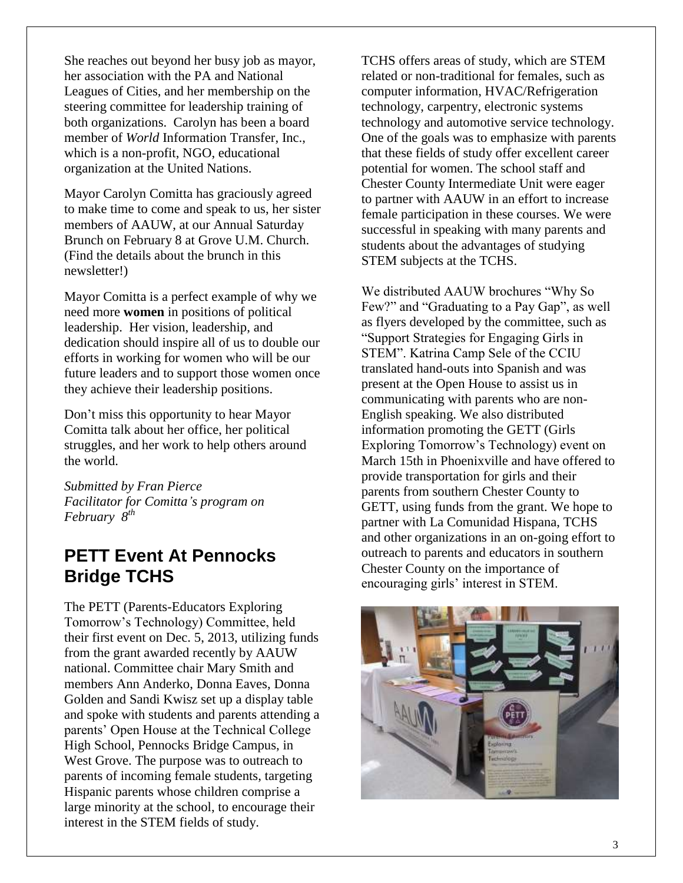She reaches out beyond her busy job as mayor, her association with the PA and National Leagues of Cities, and her membership on the steering committee for leadership training of both organizations. Carolyn has been a board member of *World* Information Transfer, Inc., which is a non-profit, NGO, educational organization at the United Nations.

Mayor Carolyn Comitta has graciously agreed to make time to come and speak to us, her sister members of AAUW, at our Annual Saturday Brunch on February 8 at Grove U.M. Church. (Find the details about the brunch in this newsletter!)

Mayor Comitta is a perfect example of why we need more **women** in positions of political leadership. Her vision, leadership, and dedication should inspire all of us to double our efforts in working for women who will be our future leaders and to support those women once they achieve their leadership positions.

Don't miss this opportunity to hear Mayor Comitta talk about her office, her political struggles, and her work to help others around the world.

*Submitted by Fran Pierce Facilitator for Comitta's program on February 8th*

### **PETT Event At Pennocks Bridge TCHS**

The PETT (Parents-Educators Exploring Tomorrow's Technology) Committee, held their first event on Dec. 5, 2013, utilizing funds from the grant awarded recently by AAUW national. Committee chair Mary Smith and members Ann Anderko, Donna Eaves, Donna Golden and Sandi Kwisz set up a display table and spoke with students and parents attending a parents' Open House at the Technical College High School, Pennocks Bridge Campus, in West Grove. The purpose was to outreach to parents of incoming female students, targeting Hispanic parents whose children comprise a large minority at the school, to encourage their interest in the STEM fields of study.

TCHS offers areas of study, which are STEM related or non-traditional for females, such as computer information, HVAC/Refrigeration technology, carpentry, electronic systems technology and automotive service technology. One of the goals was to emphasize with parents that these fields of study offer excellent career potential for women. The school staff and Chester County Intermediate Unit were eager to partner with AAUW in an effort to increase female participation in these courses. We were successful in speaking with many parents and students about the advantages of studying STEM subjects at the TCHS.

We distributed AAUW brochures "Why So Few?" and "Graduating to a Pay Gap", as well as flyers developed by the committee, such as "Support Strategies for Engaging Girls in STEM". Katrina Camp Sele of the CCIU translated hand-outs into Spanish and was present at the Open House to assist us in communicating with parents who are non-English speaking. We also distributed information promoting the GETT (Girls Exploring Tomorrow's Technology) event on March 15th in Phoenixville and have offered to provide transportation for girls and their parents from southern Chester County to GETT, using funds from the grant. We hope to partner with La Comunidad Hispana, TCHS and other organizations in an on-going effort to outreach to parents and educators in southern Chester County on the importance of encouraging girls' interest in STEM.

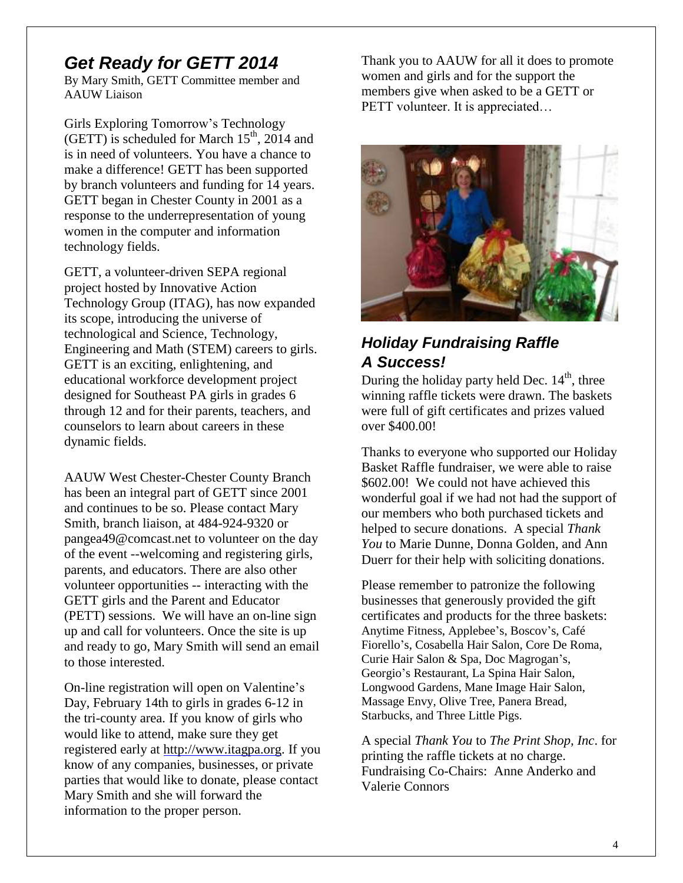### *Get Ready for GETT 2014*

By Mary Smith, GETT Committee member and AAUW Liaison

Girls Exploring Tomorrow's Technology (GETT) is scheduled for March  $15<sup>th</sup>$ , 2014 and is in need of volunteers. You have a chance to make a difference! GETT has been supported by branch volunteers and funding for 14 years. GETT began in Chester County in 2001 as a response to the underrepresentation of young women in the computer and information technology fields.

GETT, a volunteer-driven SEPA regional project hosted by Innovative Action Technology Group (ITAG), has now expanded its scope, introducing the universe of technological and Science, Technology, Engineering and Math (STEM) careers to girls. GETT is an exciting, enlightening, and educational workforce development project designed for Southeast PA girls in grades 6 through 12 and for their parents, teachers, and counselors to learn about careers in these dynamic fields.

AAUW West Chester-Chester County Branch has been an integral part of GETT since 2001 and continues to be so. Please contact Mary Smith, branch liaison, at 484-924-9320 or [pangea49@comcast.net](mailto:pangea49@comcast.net) to volunteer on the day of the event --welcoming and registering girls, parents, and educators. There are also other volunteer opportunities -- interacting with the GETT girls and the Parent and Educator (PETT) sessions. We will have an on-line sign up and call for volunteers. Once the site is up and ready to go, Mary Smith will send an email to those interested.

On-line registration will open on Valentine's Day, February 14th to girls in grades 6-12 in the tri-county area. If you know of girls who would like to attend, make sure they get registered early at [http://www.itagpa.org.](http://www.itagpa.org/) If you know of any companies, businesses, or private parties that would like to donate, please contact Mary Smith and she will forward the information to the proper person.

Thank you to AAUW for all it does to promote women and girls and for the support the members give when asked to be a GETT or PETT volunteer. It is appreciated...



### *Holiday Fundraising Raffle A Success!*

During the holiday party held Dec.  $14<sup>th</sup>$ , three winning raffle tickets were drawn. The baskets were full of gift certificates and prizes valued over \$400.00!

Thanks to everyone who supported our Holiday Basket Raffle fundraiser, we were able to raise \$602.00! We could not have achieved this wonderful goal if we had not had the support of our members who both purchased tickets and helped to secure donations. A special *Thank You* to Marie Dunne, Donna Golden, and Ann Duerr for their help with soliciting donations.

Please remember to patronize the following businesses that generously provided the gift certificates and products for the three baskets: Anytime Fitness, Applebee's, Boscov's, Café Fiorello's, Cosabella Hair Salon, Core De Roma, Curie Hair Salon & Spa, Doc Magrogan's, Georgio's Restaurant, La Spina Hair Salon, Longwood Gardens, Mane Image Hair Salon, Massage Envy, Olive Tree, Panera Bread, Starbucks, and Three Little Pigs.

A special *Thank You* to *The Print Shop, Inc*. for printing the raffle tickets at no charge. Fundraising Co-Chairs: Anne Anderko and Valerie Connors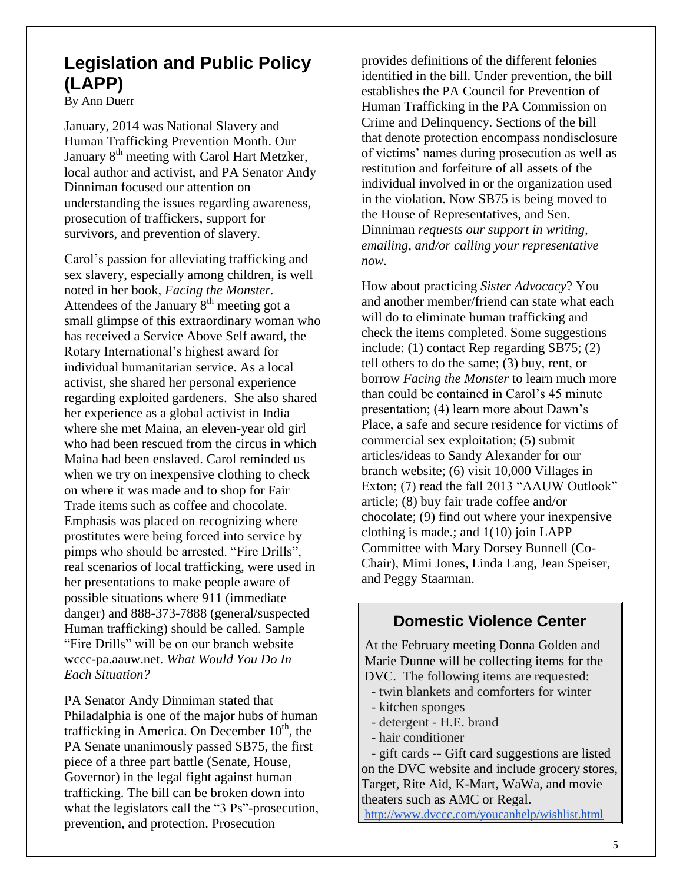## **Legislation and Public Policy (LAPP)**

By Ann Duerr

January, 2014 was National Slavery and Human Trafficking Prevention Month. Our January 8<sup>th</sup> meeting with Carol Hart Metzker, local author and activist, and PA Senator Andy Dinniman focused our attention on understanding the issues regarding awareness, prosecution of traffickers, support for survivors, and prevention of slavery.

Carol's passion for alleviating trafficking and sex slavery, especially among children, is well noted in her book, *Facing the Monster.* Attendees of the January  $8<sup>th</sup>$  meeting got a small glimpse of this extraordinary woman who has received a Service Above Self award, the Rotary International's highest award for individual humanitarian service. As a local activist, she shared her personal experience regarding exploited gardeners. She also shared her experience as a global activist in India where she met Maina, an eleven-year old girl who had been rescued from the circus in which Maina had been enslaved. Carol reminded us when we try on inexpensive clothing to check on where it was made and to shop for Fair Trade items such as coffee and chocolate. Emphasis was placed on recognizing where prostitutes were being forced into service by pimps who should be arrested. "Fire Drills", real scenarios of local trafficking, were used in her presentations to make people aware of possible situations where 911 (immediate danger) and 888-373-7888 (general/suspected Human trafficking) should be called. Sample "Fire Drills" will be on our branch website wccc-pa.aauw.net. *What Would You Do In Each Situation?*

PA Senator Andy Dinniman stated that Philadalphia is one of the major hubs of human trafficking in America. On December  $10<sup>th</sup>$ , the PA Senate unanimously passed SB75, the first piece of a three part battle (Senate, House, Governor) in the legal fight against human trafficking. The bill can be broken down into what the legislators call the "3 Ps"-prosecution, prevention, and protection. Prosecution

provides definitions of the different felonies identified in the bill. Under prevention, the bill establishes the PA Council for Prevention of Human Trafficking in the PA Commission on Crime and Delinquency. Sections of the bill that denote protection encompass nondisclosure of victims' names during prosecution as well as restitution and forfeiture of all assets of the individual involved in or the organization used in the violation. Now SB75 is being moved to the House of Representatives, and Sen. Dinniman *requests our support in writing, emailing, and/or calling your representative now.* 

How about practicing *Sister Advocacy*? You and another member/friend can state what each will do to eliminate human trafficking and check the items completed. Some suggestions include: (1) contact Rep regarding SB75; (2) tell others to do the same; (3) buy, rent, or borrow *Facing the Monster* to learn much more than could be contained in Carol's 45 minute presentation; (4) learn more about Dawn's Place, a safe and secure residence for victims of commercial sex exploitation; (5) submit articles/ideas to Sandy Alexander for our branch website; (6) visit 10,000 Villages in Exton; (7) read the fall 2013 "AAUW Outlook" article; (8) buy fair trade coffee and/or chocolate; (9) find out where your inexpensive clothing is made.; and 1(10) join LAPP Committee with Mary Dorsey Bunnell (Co-Chair), Mimi Jones, Linda Lang, Jean Speiser, and Peggy Staarman.

### **Domestic Violence Center**

At the February meeting Donna Golden and Marie Dunne will be collecting items for the DVC. The following items are requested:

- twin blankets and comforters for winter
- kitchen sponges
- detergent H.E. brand
- hair conditioner

 - gift cards -- Gift card suggestions are listed on the DVC website and include grocery stores, Target, Rite Aid, K-Mart, WaWa, and movie theaters such as AMC or Regal. <http://www.dvccc.com/youcanhelp/wishlist.html>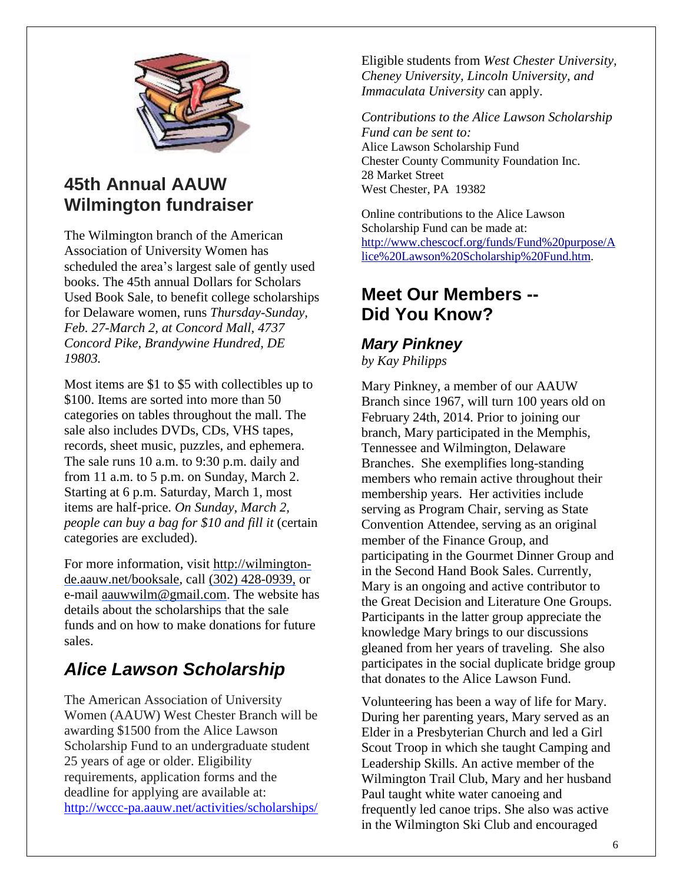

## **45th Annual AAUW Wilmington fundraiser**

The Wilmington branch of the American Association of University Women has scheduled the area's largest sale of gently used books. The 45th annual Dollars for Scholars Used Book Sale, to benefit college scholarships for Delaware women, runs *Thursday-Sunday, Feb. 27-March 2, at Concord Mall, 4737 Concord Pike, Brandywine Hundred, DE 19803.*

Most items are \$1 to \$5 with collectibles up to \$100. Items are sorted into more than 50 categories on tables throughout the mall. The sale also includes DVDs, CDs, VHS tapes, records, sheet music, puzzles, and ephemera. The sale runs 10 a.m. to 9:30 p.m. daily and from 11 a.m. to 5 p.m. on Sunday, March 2. Starting at 6 p.m. Saturday, March 1, most items are half-price. *On Sunday, March 2, people can buy a bag for \$10 and fill it* (certain categories are excluded).

For more information, visit [http://wilmington](http://wilmington-de.aauw.net/booksale)[de.aauw.net/booksale,](http://wilmington-de.aauw.net/booksale) call (302) 428-0939, or e-mail [aauwwilm@gmail.com.](mailto:aauwwilm@gmail.com) The website has details about the scholarships that the sale funds and on how to make donations for future sales.

## *Alice Lawson Scholarship*

The American Association of University Women (AAUW) West Chester Branch will be awarding \$1500 from the Alice Lawson Scholarship Fund to an undergraduate student 25 years of age or older. Eligibility requirements, application forms and the deadline for applying are available at: <http://wccc-pa.aauw.net/activities/scholarships/> Eligible students from *West Chester University, Cheney University, Lincoln University, and Immaculata University* can apply.

*Contributions to the Alice Lawson Scholarship Fund can be sent to:* Alice Lawson Scholarship Fund Chester County Community Foundation Inc. 28 Market Street West Chester, PA 19382

Online contributions to the Alice Lawson Scholarship Fund can be made at: [http://www.chescocf.org/funds/Fund%20purpose/A](http://www.chescocf.org/funds/Fund%20purpose/Alice%20Lawson%20Scholarship%20Fund.htm) [lice%20Lawson%20Scholarship%20Fund.htm.](http://www.chescocf.org/funds/Fund%20purpose/Alice%20Lawson%20Scholarship%20Fund.htm)

## **Meet Our Members -- Did You Know?**

## *Mary Pinkney*

*by Kay Philipps*

Mary Pinkney, a member of our AAUW Branch since 1967, will turn 100 years old on February 24th, 2014. Prior to joining our branch, Mary participated in the Memphis, Tennessee and Wilmington, Delaware Branches. She exemplifies long-standing members who remain active throughout their membership years. Her activities include serving as Program Chair, serving as State Convention Attendee, serving as an original member of the Finance Group, and participating in the Gourmet Dinner Group and in the Second Hand Book Sales. Currently, Mary is an ongoing and active contributor to the Great Decision and Literature One Groups. Participants in the latter group appreciate the knowledge Mary brings to our discussions gleaned from her years of traveling. She also participates in the social duplicate bridge group that donates to the Alice Lawson Fund.

Volunteering has been a way of life for Mary. During her parenting years, Mary served as an Elder in a Presbyterian Church and led a Girl Scout Troop in which she taught Camping and Leadership Skills. An active member of the Wilmington Trail Club, Mary and her husband Paul taught white water canoeing and frequently led canoe trips. She also was active in the Wilmington Ski Club and encouraged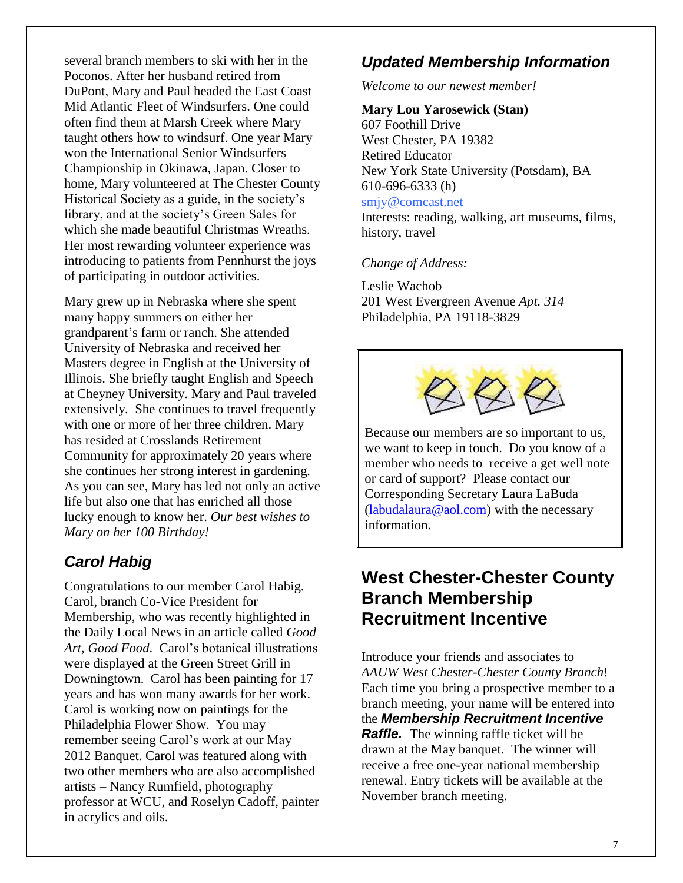several branch members to ski with her in the Poconos. After her husband retired from DuPont, Mary and Paul headed the East Coast Mid Atlantic Fleet of Windsurfers. One could often find them at Marsh Creek where Mary taught others how to windsurf. One year Mary won the International Senior Windsurfers Championship in Okinawa, Japan. Closer to home, Mary volunteered at The Chester County Historical Society as a guide, in the society's library, and at the society's Green Sales for which she made beautiful Christmas Wreaths. Her most rewarding volunteer experience was introducing to patients from Pennhurst the joys of participating in outdoor activities.

Mary grew up in Nebraska where she spent many happy summers on either her grandparent's farm or ranch. She attended University of Nebraska and received her Masters degree in English at the University of Illinois. She briefly taught English and Speech at Cheyney University. Mary and Paul traveled extensively. She continues to travel frequently with one or more of her three children. Mary has resided at Crosslands Retirement Community for approximately 20 years where she continues her strong interest in gardening. As you can see, Mary has led not only an active life but also one that has enriched all those lucky enough to know her. *Our best wishes to Mary on her 100 Birthday!*

### *Carol Habig*

Congratulations to our member Carol Habig. Carol, branch Co-Vice President for Membership, who was recently highlighted in the Daily Local News in an article called *Good Art, Good Food*. Carol's botanical illustrations were displayed at the Green Street Grill in Downingtown. Carol has been painting for 17 years and has won many awards for her work. Carol is working now on paintings for the Philadelphia Flower Show. You may remember seeing Carol's work at our May 2012 Banquet. Carol was featured along with two other members who are also accomplished artists – Nancy Rumfield, photography professor at WCU, and Roselyn Cadoff, painter in acrylics and oils.

### *Updated Membership Information*

*Welcome to our newest member!* 

#### **Mary Lou Yarosewick (Stan)**

607 Foothill Drive West Chester, PA 19382 Retired Educator New York State University (Potsdam), BA 610-696-6333 (h) [smjy@comcast.net](mailto:smjy@comcast.net)

Interests: reading, walking, art museums, films, history, travel

#### *Change of Address:*

Leslie Wachob 201 West Evergreen Avenue *Apt. 314* Philadelphia, PA 19118-3829



Because our members are so important to us, we want to keep in touch. Do you know of a member who needs to receive a get well note or card of support? Please contact our Corresponding Secretary Laura LaBuda  $(labudalaura@aol.com)$  with the necessary information.

### **West Chester-Chester County Branch Membership Recruitment Incentive**

Introduce your friends and associates to *AAUW West Chester-Chester County Branch*! Each time you bring a prospective member to a branch meeting, your name will be entered into the *Membership Recruitment Incentive Raffle.* The winning raffle ticket will be drawn at the May banquet. The winner will receive a free one-year national membership renewal. Entry tickets will be available at the November branch meeting.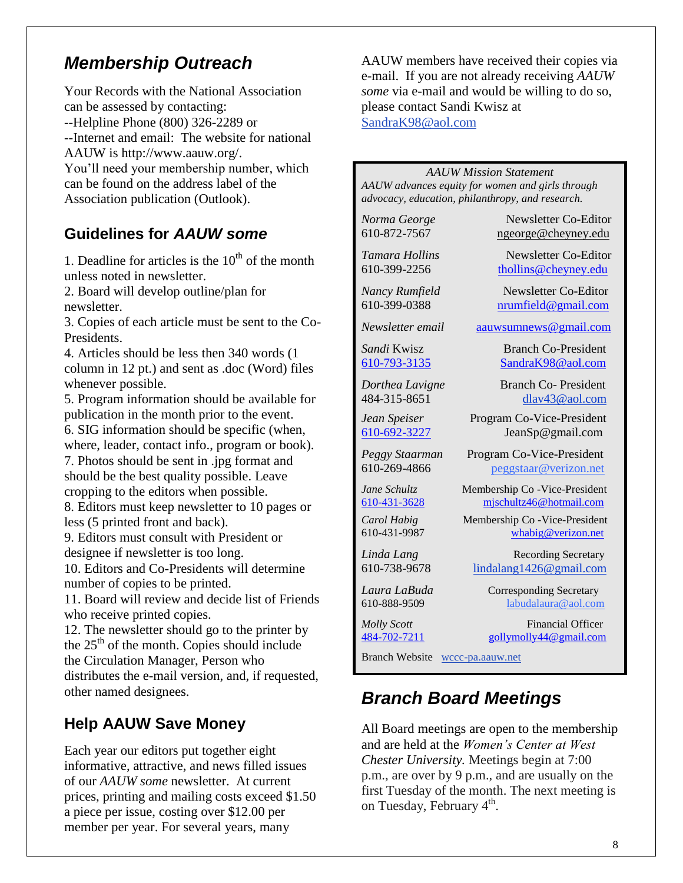## *Membership Outreach*

Your Records with the National Association can be assessed by contacting: --Helpline Phone (800) 326-2289 or --Internet and email: The website for national AAUW is http://www.aauw.org/. You'll need your membership number, which can be found on the address label of the Association publication (Outlook).

### **Guidelines for** *AAUW some*

1. Deadline for articles is the  $10<sup>th</sup>$  of the month unless noted in newsletter.

2. Board will develop outline/plan for newsletter.

3. Copies of each article must be sent to the Co-Presidents.

4. Articles should be less then 340 words (1 column in 12 pt.) and sent as .doc (Word) files whenever possible.

5. Program information should be available for publication in the month prior to the event.

6. SIG information should be specific (when, where, leader, contact info., program or book).

7. Photos should be sent in .jpg format and should be the best quality possible. Leave cropping to the editors when possible.

8. Editors must keep newsletter to 10 pages or less (5 printed front and back).

9. Editors must consult with President or designee if newsletter is too long.

10. Editors and Co-Presidents will determine number of copies to be printed.

11. Board will review and decide list of Friends who receive printed copies.

12. The newsletter should go to the printer by the  $25<sup>th</sup>$  of the month. Copies should include the Circulation Manager, Person who distributes the e-mail version, and, if requested, other named designees.

### **Help AAUW Save Money**

Each year our editors put together eight informative, attractive, and news filled issues of our *AAUW some* newsletter. At current prices, printing and mailing costs exceed \$1.50 a piece per issue, costing over \$12.00 per member per year. For several years, many

AAUW members have received their copies via e-mail. If you are not already receiving *AAUW some* via e-mail and would be willing to do so, please contact Sandi Kwisz at [SandraK98@aol.com](mailto:SandraK98@aol.com)

#### *AAUW Mission Statement*

*AAUW advances equity for women and girls through advocacy, education, philanthropy, and research.*

*Norma George* Newsletter Co-Editor 610-872-7567 [ngeorge@cheyney.edu](mailto:ngeorge@cheyney.ecu)

*Tamara Hollins* Newsletter Co-Editor 610-399-2256 [thollins@cheyney.edu](mailto:thollins@cheyney.edu)

*Nancy Rumfield* Newsletter Co-Editor 610-399-0388 [nrumfield@gmail.com](mailto:nrumfield@gmail.com)

*Newsletter email* [aauwsumnews@gmail.com](mailto:aauwsumnews@gmail.com)

*Sandi* Kwisz Branch Co-President [610-793-3135](tel:/610-793-3135) [SandraK98@aol.com](mailto:SandraK98@aol.com)

*Dorthea Lavigne* Branch Co- President 484-315-8651 [dlav43@aol.com](mailto:franpierce@verizon.net)

*Jean Speiser* Program Co-Vice-President [610-692-3227](tel:/610-692-3227) JeanSp@gmail.com

*Peggy Staarman* Program Co-Vice-President 610-269-4866 [peggstaar@verizon.net](mailto:4dores@comcast.net)

*Jane Schultz* Membership Co -Vice-President [610-431-3628](tel:/610-431-3628) [mjschultz46@hotmail.com](mailto:mjschultz46@hotmail.com)

*Carol Habig* Membership Co -Vice-President 610-431-9987 [whabig@verizon.net](mailto:mjschultz46@hotmail.com)

*Linda Lang* Recording Secretary 610-738-9678 lindalang1426@gmail.com

*Laura LaBuda* **Corresponding Secretary** 610-888-9509 labudalaura@aol.com

*Molly Scott* Financial Officer [484-702-7211](tel:/484-702-7211) [gollymolly44@gmail.com](mailto:gollymolly44@gmail.com)

Branch Website [wccc-pa.aauw.net](http://wccc-pa.aauw.net/)

### *Branch Board Meetings*

All Board meetings are open to the membership and are held at the *Women's Center at West Chester University.* Meetings begin at 7:00 p.m., are over by 9 p.m., and are usually on the first Tuesday of the month. The next meeting is on Tuesday, February 4<sup>th</sup>.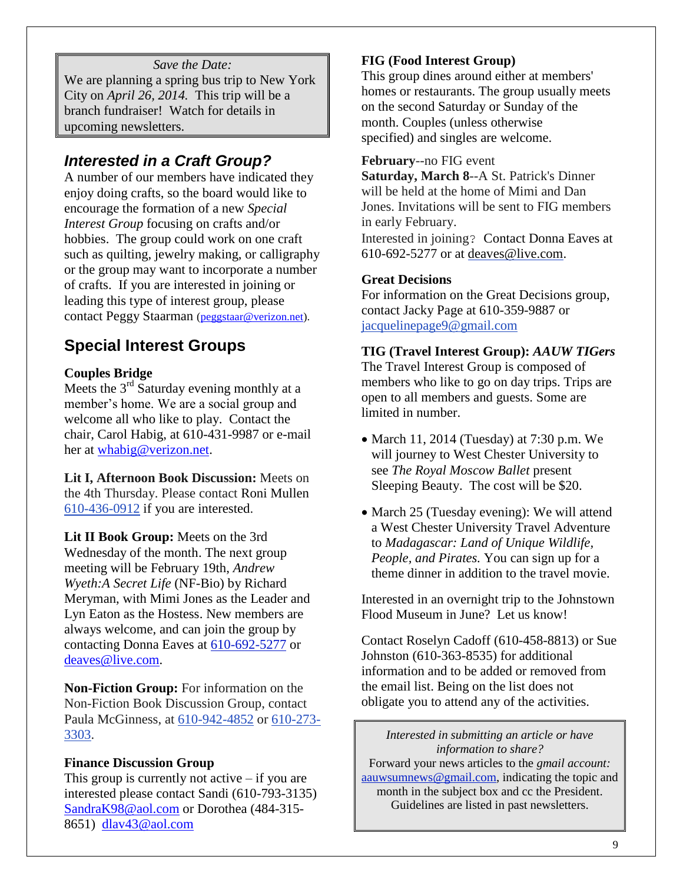### *Save the Date:*

We are planning a spring bus trip to New York City on *April 26, 2014.* This trip will be a branch fundraiser! Watch for details in upcoming newsletters.

### *Interested in a Craft Group?*

A number of our members have indicated they enjoy doing crafts, so the board would like to encourage the formation of a new *Special Interest Group* focusing on crafts and/or hobbies. The group could work on one craft such as quilting, jewelry making, or calligraphy or the group may want to incorporate a number of crafts. If you are interested in joining or leading this type of interest group, please contact Peggy Staarman [\(peggstaar@verizon.net\)](mailto:peggstaar@verizon.net).

### **Special Interest Groups**

#### **Couples Bridge**

Meets the  $3<sup>rd</sup>$  Saturday evening monthly at a member's home. We are a social group and welcome all who like to play. Contact the chair, Carol Habig, at 610-431-9987 or e-mail her at [whabig@verizon.net.](mailto:whabig@verizon.net)

**Lit I, Afternoon Book Discussion:** Meets on the 4th Thursday. Please contact Roni Mullen [610-436-0912](tel:/610-436-0912) if you are interested.

**Lit II Book Group:** Meets on the 3rd Wednesday of the month. The next group meeting will be February 19th, *Andrew Wyeth:A Secret Life* (NF-Bio) by Richard Meryman, with Mimi Jones as the Leader and Lyn Eaton as the Hostess. New members are always welcome, and can join the group by contacting Donna Eaves at [610-692-5277](tel:/610-692-5277) or [deaves@live.com.](mailto:deaves@live.com)

**Non-Fiction Group:** For information on the Non-Fiction Book Discussion Group, contact Paula McGinness, at [610-942-4852](tel:/610-942-4852) or [610-273-](tel:/610-273-3303) [3303.](tel:/610-273-3303)

#### **Finance Discussion Group**

This group is currently not active  $-$  if you are interested please contact Sandi (610-793-3135) [SandraK98@aol.com](mailto:SandraK98@aol.com) or Dorothea (484-315- 8651) [dlav43@aol.com](mailto:dlav43@aol.com)

### **FIG (Food Interest Group)**

This group dines around either at members' homes or restaurants. The group usually meets on the second Saturday or Sunday of the month. Couples (unless otherwise specified) and singles are welcome.

#### **February**--no FIG event

**Saturday, March 8**--A St. Patrick's Dinner will be held at the home of Mimi and Dan Jones. Invitations will be sent to FIG members in early February.

Interested in joining? Contact Donna Eaves at 610-692-5277 or at [deaves@live.com.](mailto:deaves@live.com)

#### **Great Decisions**

For information on the Great Decisions group, contact Jacky Page at 610-359-9887 or [jacquelinepage9@gmail.com](mailto:jacquelinepage9@gmail.com)

#### **TIG (Travel Interest Group):** *AAUW TIGers*

The Travel Interest Group is composed of members who like to go on day trips. Trips are open to all members and guests. Some are limited in number.

- March 11, 2014 (Tuesday) at  $7:30$  p.m. We will journey to West Chester University to see *The Royal Moscow Ballet* present Sleeping Beauty. The cost will be \$20.
- March 25 (Tuesday evening): We will attend a West Chester University Travel Adventure to *Madagascar: Land of Unique Wildlife, People, and Pirates.* You can sign up for a theme dinner in addition to the travel movie.

Interested in an overnight trip to the Johnstown Flood Museum in June? Let us know!

Contact Roselyn Cadoff (610-458-8813) or Sue Johnston (610-363-8535) for additional information and to be added or removed from the email list. Being on the list does not obligate you to attend any of the activities.

*Interested in submitting an article or have information to share?* Forward your news articles to the *gmail account:* [aauwsumnews@gmail.com,](mailto:aauwsum@gmail.com) indicating the topic and month in the subject box and cc the President. Guidelines are listed in past newsletters.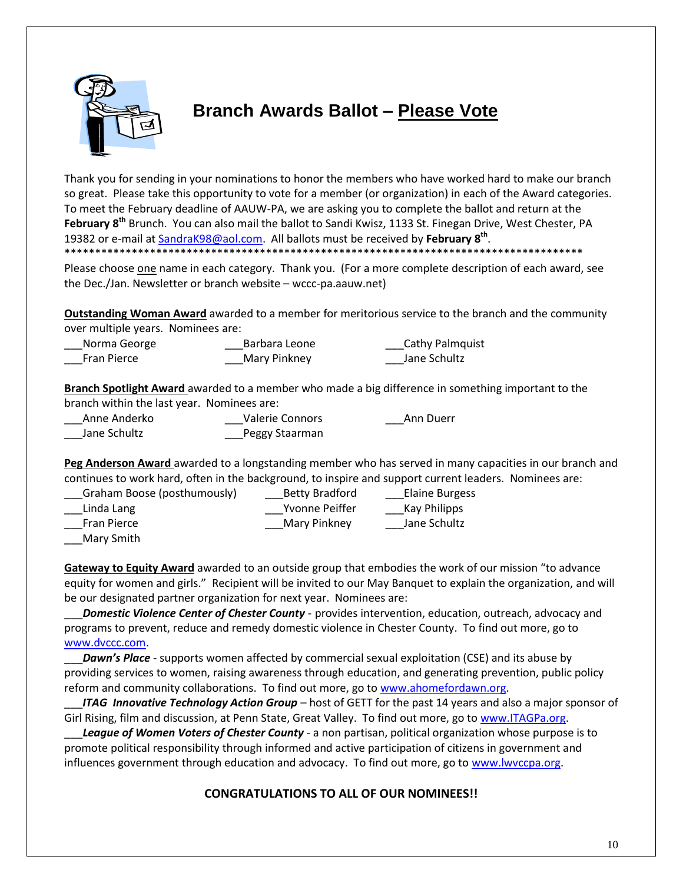

## **Branch Awards Ballot – Please Vote**

Thank you for sending in your nominations to honor the members who have worked hard to make our branch so great. Please take this opportunity to vote for a member (or organization) in each of the Award categories. To meet the February deadline of AAUW-PA, we are asking you to complete the ballot and return at the **February 8th** Brunch. You can also mail the ballot to Sandi Kwisz, 1133 St. Finegan Drive, West Chester, PA 19382 or e-mail at [SandraK98@aol.com.](mailto:SandraK98@aol.com) All ballots must be received by **February 8th** . \*\*\*\*\*\*\*\*\*\*\*\*\*\*\*\*\*\*\*\*\*\*\*\*\*\*\*\*\*\*\*\*\*\*\*\*\*\*\*\*\*\*\*\*\*\*\*\*\*\*\*\*\*\*\*\*\*\*\*\*\*\*\*\*\*\*\*\*\*\*\*\*\*\*\*\*\*\*\*\*\*\*\*\*\*

Please choose one name in each category. Thank you. (For a more complete description of each award, see the Dec./Jan. Newsletter or branch website – wccc-pa.aauw.net)

**Outstanding Woman Award** awarded to a member for meritorious service to the branch and the community over multiple years. Nominees are:

| Norma George       | Barbara Leone | <b>Cathy Palmquist</b> |
|--------------------|---------------|------------------------|
| <b>Fran Pierce</b> | Mary Pinkney  | Jane Schultz           |

**Branch Spotlight Award** awarded to a member who made a big difference in something important to the branch within the last year. Nominees are:

| Anne Anderko | Valerie Connors | Ann Duerr |
|--------------|-----------------|-----------|
| Jane Schultz | Peggy Staarman  |           |

**Peg Anderson Award** awarded to a longstanding member who has served in many capacities in our branch and continues to work hard, often in the background, to inspire and support current leaders. Nominees are:

| Graham Boose (posthumously) | <b>Betty Bradford</b> | <b>Elaine Burgess</b> |
|-----------------------------|-----------------------|-----------------------|
| Linda Lang                  | Yvonne Peiffer        | Kay Philipps          |
| <b>Fran Pierce</b>          | Mary Pinkney          | Jane Schultz          |
| Mary Smith                  |                       |                       |

**Gateway to Equity Award** awarded to an outside group that embodies the work of our mission "to advance equity for women and girls." Recipient will be invited to our May Banquet to explain the organization, and will be our designated partner organization for next year. Nominees are:

\_\_\_*Domestic Violence Center of Chester County* - provides intervention, education, outreach, advocacy and programs to prevent, reduce and remedy domestic violence in Chester County. To find out more, go to [www.dvccc.com.](http://www.dvccc.com/)

**Dawn's Place** - supports women affected by commercial sexual exploitation (CSE) and its abuse by providing services to women, raising awareness through education, and generating prevention, public policy reform and community collaborations. To find out more, go to [www.ahomefordawn.org.](http://www.ahomefordawn.org/)

ITAG Innovative Technology Action Group – host of GETT for the past 14 years and also a major sponsor of Girl Rising, film and discussion, at Penn State, Great Valley. To find out more, go to [www.ITAGPa.org.](http://www.itagpa.org/)

League of Women Voters of Chester County - a non partisan, political organization whose purpose is to promote political responsibility through informed and active participation of citizens in government and influences government through education and advocacy. To find out more, go to [www.lwvccpa.org.](http://www.lwvccpa.org/)

### **CONGRATULATIONS TO ALL OF OUR NOMINEES!!**